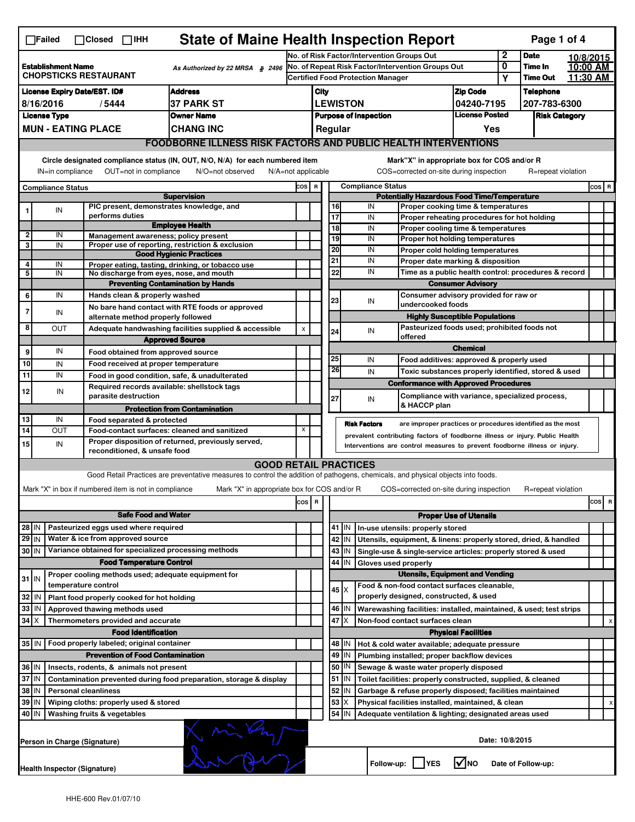|                                                                                                                                                          | <b>State of Maine Health Inspection Report</b><br>Page 1 of 4<br>$\Box$ Failed<br>$\Box$ Closed $\Box$ iHH |                                                                                          |                                                                                                                                   |         |                                                                                                                                                            |          |                                       |                     |                                                                                                                           |                               |              |                            |                      |         |   |
|----------------------------------------------------------------------------------------------------------------------------------------------------------|------------------------------------------------------------------------------------------------------------|------------------------------------------------------------------------------------------|-----------------------------------------------------------------------------------------------------------------------------------|---------|------------------------------------------------------------------------------------------------------------------------------------------------------------|----------|---------------------------------------|---------------------|---------------------------------------------------------------------------------------------------------------------------|-------------------------------|--------------|----------------------------|----------------------|---------|---|
|                                                                                                                                                          |                                                                                                            |                                                                                          |                                                                                                                                   |         | No. of Risk Factor/Intervention Groups Out                                                                                                                 |          |                                       |                     |                                                                                                                           |                               | $\mathbf{2}$ | <b>Date</b>                | 10/8/2015            |         |   |
| <b>Establishment Name</b><br>As Authorized by 22 MRSA \$2496<br><b>CHOPSTICKS RESTAURANT</b>                                                             |                                                                                                            |                                                                                          |                                                                                                                                   |         | No. of Repeat Risk Factor/Intervention Groups Out<br><b>Certified Food Protection Manager</b>                                                              |          |                                       |                     |                                                                                                                           |                               | 0<br>Υ       | Time In<br><b>Time Out</b> | 10:00 AM<br>11:30 AM |         |   |
|                                                                                                                                                          | <b>Address</b><br><b>License Expiry Date/EST. ID#</b>                                                      |                                                                                          |                                                                                                                                   |         |                                                                                                                                                            |          |                                       |                     |                                                                                                                           |                               |              | <b>Telephone</b>           |                      |         |   |
| <b>37 PARK ST</b><br>8/16/2016<br>/5444                                                                                                                  |                                                                                                            |                                                                                          |                                                                                                                                   |         | City<br><b>LEWISTON</b>                                                                                                                                    |          |                                       |                     |                                                                                                                           | <b>Zip Code</b><br>04240-7195 |              | 207-783-6300               |                      |         |   |
| <b>License Type</b><br>Owner Name                                                                                                                        |                                                                                                            |                                                                                          |                                                                                                                                   |         | <b>License Posted</b><br><b>Purpose of Inspection</b>                                                                                                      |          |                                       |                     |                                                                                                                           | <b>Risk Category</b>          |              |                            |                      |         |   |
|                                                                                                                                                          |                                                                                                            | <b>MUN - EATING PLACE</b>                                                                | <b>CHANG INC</b>                                                                                                                  |         |                                                                                                                                                            |          | Regular                               |                     |                                                                                                                           | Yes                           |              |                            |                      |         |   |
|                                                                                                                                                          | <b>FOODBORNE ILLNESS RISK FACTORS AND PUBLIC HEALTH INTERVENTIONS</b>                                      |                                                                                          |                                                                                                                                   |         |                                                                                                                                                            |          |                                       |                     |                                                                                                                           |                               |              |                            |                      |         |   |
| Circle designated compliance status (IN, OUT, N/O, N/A) for each numbered item<br>Mark"X" in appropriate box for COS and/or R                            |                                                                                                            |                                                                                          |                                                                                                                                   |         |                                                                                                                                                            |          |                                       |                     |                                                                                                                           |                               |              |                            |                      |         |   |
| OUT=not in compliance<br>N/O=not observed<br>COS=corrected on-site during inspection<br>IN=in compliance<br>$N/A = not$ applicable<br>R=repeat violation |                                                                                                            |                                                                                          |                                                                                                                                   |         |                                                                                                                                                            |          |                                       |                     |                                                                                                                           |                               |              |                            |                      |         |   |
| <b>Compliance Status</b>                                                                                                                                 |                                                                                                            |                                                                                          |                                                                                                                                   |         | <b>Compliance Status</b><br>COS R<br><b>Potentially Hazardous Food Time/Temperature</b>                                                                    |          |                                       |                     |                                                                                                                           |                               |              |                            |                      | $cos$ R |   |
|                                                                                                                                                          |                                                                                                            | PIC present, demonstrates knowledge, and                                                 | <b>Supervision</b>                                                                                                                |         |                                                                                                                                                            |          | 16                                    | IN                  | Proper cooking time & temperatures                                                                                        |                               |              |                            |                      |         |   |
| 1                                                                                                                                                        | IN                                                                                                         | performs duties                                                                          |                                                                                                                                   |         |                                                                                                                                                            | 17       |                                       | IN                  | Proper reheating procedures for hot holding                                                                               |                               |              |                            |                      |         |   |
| 2                                                                                                                                                        | IN                                                                                                         | Management awareness: policy present                                                     | <b>Employee Health</b>                                                                                                            |         |                                                                                                                                                            |          | 18                                    | IN                  | Proper cooling time & temperatures                                                                                        |                               |              |                            |                      |         |   |
| 3                                                                                                                                                        | IN                                                                                                         |                                                                                          | Proper use of reporting, restriction & exclusion                                                                                  |         |                                                                                                                                                            | 19       |                                       | IN                  | Proper hot holding temperatures                                                                                           |                               |              |                            |                      |         |   |
|                                                                                                                                                          |                                                                                                            |                                                                                          | <b>Good Hygienic Practices</b>                                                                                                    |         |                                                                                                                                                            | 20<br>21 |                                       | IN<br>IN            | Proper cold holding temperatures                                                                                          |                               |              |                            |                      |         |   |
| 4<br>5                                                                                                                                                   | IN<br>IN                                                                                                   | No discharge from eyes, nose, and mouth                                                  | Proper eating, tasting, drinking, or tobacco use                                                                                  |         |                                                                                                                                                            |          | 22                                    | IN                  | Proper date marking & disposition<br>Time as a public health control: procedures & record                                 |                               |              |                            |                      |         |   |
|                                                                                                                                                          |                                                                                                            |                                                                                          | <b>Preventing Contamination by Hands</b>                                                                                          |         |                                                                                                                                                            |          |                                       |                     | <b>Consumer Advisory</b>                                                                                                  |                               |              |                            |                      |         |   |
| 6                                                                                                                                                        | IN                                                                                                         | Hands clean & properly washed                                                            |                                                                                                                                   |         |                                                                                                                                                            |          |                                       |                     | Consumer advisory provided for raw or                                                                                     |                               |              |                            |                      |         |   |
| 7                                                                                                                                                        |                                                                                                            |                                                                                          | No bare hand contact with RTE foods or approved                                                                                   |         |                                                                                                                                                            |          | 23                                    | IN                  | undercooked foods                                                                                                         |                               |              |                            |                      |         |   |
|                                                                                                                                                          | IN                                                                                                         | alternate method properly followed                                                       |                                                                                                                                   |         |                                                                                                                                                            |          | <b>Highly Susceptible Populations</b> |                     |                                                                                                                           |                               |              |                            |                      |         |   |
| 8                                                                                                                                                        | <b>OUT</b>                                                                                                 | Adequate handwashing facilities supplied & accessible                                    |                                                                                                                                   |         |                                                                                                                                                            | 24       |                                       | IN                  | Pasteurized foods used; prohibited foods not<br>offered                                                                   |                               |              |                            |                      |         |   |
| $\mathbf{9}$                                                                                                                                             | IN                                                                                                         |                                                                                          | <b>Approved Source</b>                                                                                                            |         |                                                                                                                                                            |          |                                       | <b>Chemical</b>     |                                                                                                                           |                               |              |                            |                      |         |   |
| 10                                                                                                                                                       | IN                                                                                                         | Food obtained from approved source<br>Food received at proper temperature                |                                                                                                                                   |         |                                                                                                                                                            | 25       |                                       | IN                  | Food additives: approved & properly used                                                                                  |                               |              |                            |                      |         |   |
| 11                                                                                                                                                       | IN                                                                                                         |                                                                                          | Food in good condition, safe, & unadulterated                                                                                     |         |                                                                                                                                                            | 26       |                                       | IN                  | Toxic substances properly identified, stored & used                                                                       |                               |              |                            |                      |         |   |
|                                                                                                                                                          |                                                                                                            | Required records available: shellstock tags                                              |                                                                                                                                   |         |                                                                                                                                                            |          |                                       |                     | <b>Conformance with Approved Procedures</b>                                                                               |                               |              |                            |                      |         |   |
| 12                                                                                                                                                       | IN                                                                                                         | parasite destruction                                                                     |                                                                                                                                   |         |                                                                                                                                                            | 27       |                                       | IN                  | Compliance with variance, specialized process,<br>& HACCP plan                                                            |                               |              |                            |                      |         |   |
|                                                                                                                                                          |                                                                                                            |                                                                                          | <b>Protection from Contamination</b>                                                                                              |         |                                                                                                                                                            |          |                                       |                     |                                                                                                                           |                               |              |                            |                      |         |   |
| 13<br>14                                                                                                                                                 | IN<br>OUT                                                                                                  | Food separated & protected                                                               | Food-contact surfaces: cleaned and sanitized                                                                                      | X       |                                                                                                                                                            |          |                                       | <b>Risk Factors</b> | are improper practices or procedures identified as the most                                                               |                               |              |                            |                      |         |   |
| 15                                                                                                                                                       | IN                                                                                                         |                                                                                          | Proper disposition of returned, previously served,                                                                                |         | prevalent contributing factors of foodborne illness or injury. Public Health<br>Interventions are control measures to prevent foodborne illness or injury. |          |                                       |                     |                                                                                                                           |                               |              |                            |                      |         |   |
|                                                                                                                                                          |                                                                                                            | reconditioned, & unsafe food                                                             |                                                                                                                                   |         |                                                                                                                                                            |          |                                       |                     |                                                                                                                           |                               |              |                            |                      |         |   |
|                                                                                                                                                          |                                                                                                            |                                                                                          | <b>GOOD RETAIL PRACTICES</b>                                                                                                      |         |                                                                                                                                                            |          |                                       |                     |                                                                                                                           |                               |              |                            |                      |         |   |
|                                                                                                                                                          |                                                                                                            |                                                                                          | Good Retail Practices are preventative measures to control the addition of pathogens, chemicals, and physical objects into foods. |         |                                                                                                                                                            |          |                                       |                     |                                                                                                                           |                               |              |                            |                      |         |   |
|                                                                                                                                                          |                                                                                                            | Mark "X" in box if numbered item is not in compliance                                    | Mark "X" in appropriate box for COS and/or R                                                                                      |         |                                                                                                                                                            |          |                                       |                     | COS=corrected on-site during inspection                                                                                   |                               |              | R=repeat violation         |                      |         |   |
|                                                                                                                                                          |                                                                                                            |                                                                                          |                                                                                                                                   | $cos$ R |                                                                                                                                                            |          |                                       |                     |                                                                                                                           |                               |              |                            |                      | cos     | R |
|                                                                                                                                                          |                                                                                                            | <b>Safe Food and Water</b>                                                               |                                                                                                                                   |         |                                                                                                                                                            |          |                                       |                     |                                                                                                                           | <b>Proper Use of Utensils</b> |              |                            |                      |         |   |
| 28 IN                                                                                                                                                    |                                                                                                            | Pasteurized eggs used where required                                                     |                                                                                                                                   |         |                                                                                                                                                            |          | 41   IN                               |                     | In-use utensils: properly stored                                                                                          |                               |              |                            |                      |         |   |
| 29 IN                                                                                                                                                    |                                                                                                            | Water & ice from approved source<br>Variance obtained for specialized processing methods |                                                                                                                                   |         |                                                                                                                                                            |          | 42 IN                                 |                     | Utensils, equipment, & linens: properly stored, dried, & handled                                                          |                               |              |                            |                      |         |   |
| 30 IN                                                                                                                                                    |                                                                                                            | <b>Food Temperature Control</b>                                                          |                                                                                                                                   |         |                                                                                                                                                            |          | $43$   IN<br>44<br>IN                 |                     | Single-use & single-service articles: properly stored & used<br>Gloves used properly                                      |                               |              |                            |                      |         |   |
|                                                                                                                                                          |                                                                                                            | Proper cooling methods used; adequate equipment for                                      |                                                                                                                                   |         |                                                                                                                                                            |          |                                       |                     | <b>Utensils, Equipment and Vending</b>                                                                                    |                               |              |                            |                      |         |   |
| $31$ IN                                                                                                                                                  |                                                                                                            | temperature control                                                                      |                                                                                                                                   |         |                                                                                                                                                            |          |                                       |                     | Food & non-food contact surfaces cleanable,                                                                               |                               |              |                            |                      |         |   |
| 32   IN                                                                                                                                                  |                                                                                                            | Plant food properly cooked for hot holding                                               |                                                                                                                                   |         |                                                                                                                                                            |          | 45   X                                |                     | properly designed, constructed, & used                                                                                    |                               |              |                            |                      |         |   |
| 33 IN                                                                                                                                                    |                                                                                                            | Approved thawing methods used                                                            |                                                                                                                                   |         |                                                                                                                                                            |          | 46 IN                                 |                     | Warewashing facilities: installed, maintained, & used; test strips                                                        |                               |              |                            |                      |         |   |
| 34   X                                                                                                                                                   |                                                                                                            | Thermometers provided and accurate                                                       |                                                                                                                                   |         |                                                                                                                                                            |          | $47$ $\times$                         |                     | Non-food contact surfaces clean                                                                                           |                               |              |                            |                      |         |   |
|                                                                                                                                                          |                                                                                                            | <b>Food Identification</b>                                                               |                                                                                                                                   |         |                                                                                                                                                            |          |                                       |                     |                                                                                                                           | <b>Physical Facilities</b>    |              |                            |                      |         |   |
|                                                                                                                                                          |                                                                                                            | 35 IN   Food properly labeled; original container                                        |                                                                                                                                   |         |                                                                                                                                                            |          | 48   IN                               |                     | Hot & cold water available; adequate pressure                                                                             |                               |              |                            |                      |         |   |
|                                                                                                                                                          |                                                                                                            | <b>Prevention of Food Contamination</b>                                                  |                                                                                                                                   |         |                                                                                                                                                            |          | 49<br>IN                              |                     | Plumbing installed; proper backflow devices                                                                               |                               |              |                            |                      |         |   |
| 36 IN                                                                                                                                                    |                                                                                                            | Insects, rodents, & animals not present                                                  |                                                                                                                                   |         |                                                                                                                                                            |          | 50<br> IN                             |                     | Sewage & waste water properly disposed                                                                                    |                               |              |                            |                      |         |   |
| 37 IN                                                                                                                                                    |                                                                                                            |                                                                                          | Contamination prevented during food preparation, storage & display                                                                |         |                                                                                                                                                            |          | 51 J IN<br>52<br>IN                   |                     | Toilet facilities: properly constructed, supplied, & cleaned<br>Garbage & refuse properly disposed; facilities maintained |                               |              |                            |                      |         |   |
| 38   IN<br><b>Personal cleanliness</b><br>39 IN<br>Wiping cloths: properly used & stored                                                                 |                                                                                                            |                                                                                          |                                                                                                                                   |         |                                                                                                                                                            |          | 53<br>X                               |                     | Physical facilities installed, maintained, & clean                                                                        |                               |              |                            |                      |         |   |
| 40 IN                                                                                                                                                    |                                                                                                            | Washing fruits & vegetables                                                              |                                                                                                                                   |         |                                                                                                                                                            |          | 54<br>IN                              |                     | Adequate ventilation & lighting; designated areas used                                                                    |                               |              |                            |                      |         |   |
|                                                                                                                                                          | mon<br>Date: 10/8/2015<br>Person in Charge (Signature)                                                     |                                                                                          |                                                                                                                                   |         |                                                                                                                                                            |          |                                       |                     |                                                                                                                           |                               |              |                            |                      |         |   |
|                                                                                                                                                          | <b>M</b> NO<br>Follow-up:     YES<br>Date of Follow-up:<br>Health Inspector (Signature)                    |                                                                                          |                                                                                                                                   |         |                                                                                                                                                            |          |                                       |                     |                                                                                                                           |                               |              |                            |                      |         |   |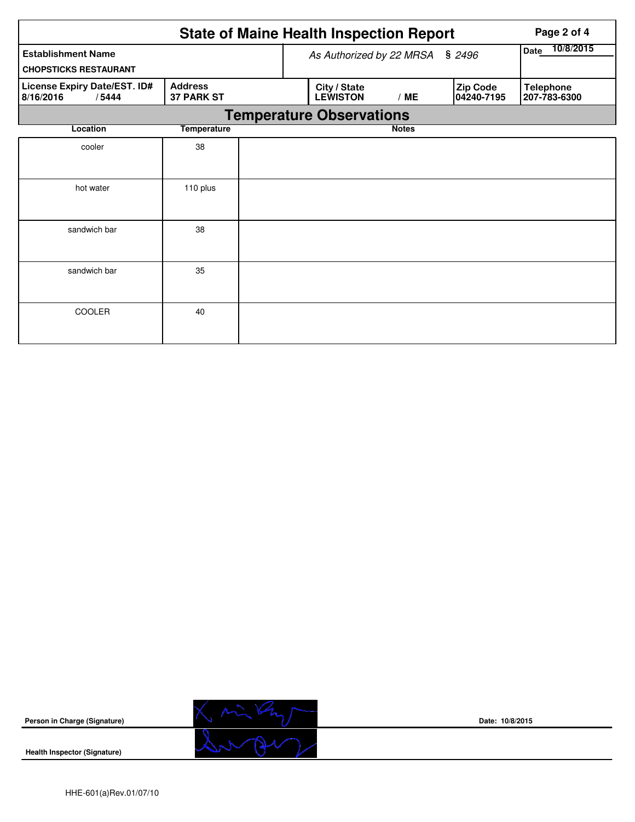|                                                           |                                     |                          | <b>State of Maine Health Inspection Report</b> | Page 2 of 4  |                        |                                  |  |  |  |  |
|-----------------------------------------------------------|-------------------------------------|--------------------------|------------------------------------------------|--------------|------------------------|----------------------------------|--|--|--|--|
| <b>Establishment Name</b><br><b>CHOPSTICKS RESTAURANT</b> |                                     | As Authorized by 22 MRSA | 10/8/2015<br>Date                              |              |                        |                                  |  |  |  |  |
| License Expiry Date/EST. ID#<br>8/16/2016<br>/5444        | <b>Address</b><br><b>37 PARK ST</b> |                          | City / State<br><b>LEWISTON</b>                | /ME          | Zip Code<br>04240-7195 | <b>Telephone</b><br>207-783-6300 |  |  |  |  |
| <b>Temperature Observations</b>                           |                                     |                          |                                                |              |                        |                                  |  |  |  |  |
| Location                                                  | <b>Temperature</b>                  |                          |                                                | <b>Notes</b> |                        |                                  |  |  |  |  |
| cooler                                                    | 38                                  |                          |                                                |              |                        |                                  |  |  |  |  |
| hot water                                                 | 110 plus                            |                          |                                                |              |                        |                                  |  |  |  |  |
| sandwich bar                                              | 38                                  |                          |                                                |              |                        |                                  |  |  |  |  |
| sandwich bar                                              | 35                                  |                          |                                                |              |                        |                                  |  |  |  |  |
| COOLER                                                    | 40                                  |                          |                                                |              |                        |                                  |  |  |  |  |



**Date: 10/8/2015**

**Health Inspector (Signature)**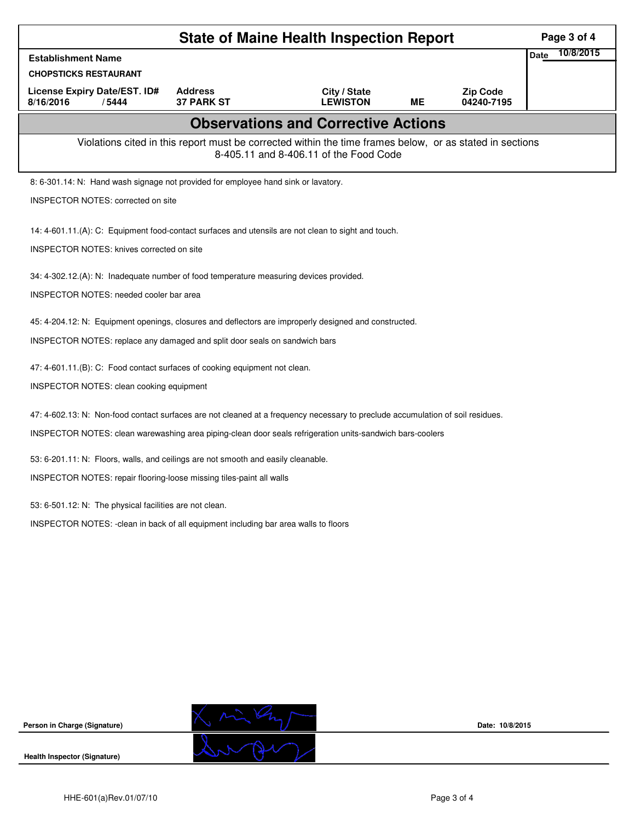| <b>State of Maine Health Inspection Report</b>                                                                                                     |                                         |                                 |           |                               |             |           |  |  |  |  |
|----------------------------------------------------------------------------------------------------------------------------------------------------|-----------------------------------------|---------------------------------|-----------|-------------------------------|-------------|-----------|--|--|--|--|
| <b>Establishment Name</b>                                                                                                                          |                                         |                                 |           |                               | <b>Date</b> | 10/8/2015 |  |  |  |  |
| <b>CHOPSTICKS RESTAURANT</b>                                                                                                                       |                                         |                                 |           |                               |             |           |  |  |  |  |
| License Expiry Date/EST. ID#<br>8/16/2016<br>/5444                                                                                                 | <b>Address</b><br><b>37 PARK ST</b>     | City / State<br><b>LEWISTON</b> | <b>ME</b> | <b>Zip Code</b><br>04240-7195 |             |           |  |  |  |  |
| <b>Observations and Corrective Actions</b>                                                                                                         |                                         |                                 |           |                               |             |           |  |  |  |  |
| Violations cited in this report must be corrected within the time frames below, or as stated in sections<br>8-405.11 and 8-406.11 of the Food Code |                                         |                                 |           |                               |             |           |  |  |  |  |
| 8: 6-301.14: N: Hand wash signage not provided for employee hand sink or lavatory.                                                                 |                                         |                                 |           |                               |             |           |  |  |  |  |
| <b>INSPECTOR NOTES: corrected on site</b>                                                                                                          |                                         |                                 |           |                               |             |           |  |  |  |  |
| 14: 4-601.11.(A): C: Equipment food-contact surfaces and utensils are not clean to sight and touch.                                                |                                         |                                 |           |                               |             |           |  |  |  |  |
| <b>INSPECTOR NOTES: knives corrected on site</b>                                                                                                   |                                         |                                 |           |                               |             |           |  |  |  |  |
| 34: 4-302.12.(A): N: Inadequate number of food temperature measuring devices provided.                                                             |                                         |                                 |           |                               |             |           |  |  |  |  |
|                                                                                                                                                    | INSPECTOR NOTES: needed cooler bar area |                                 |           |                               |             |           |  |  |  |  |
| 45: 4-204.12: N: Equipment openings, closures and deflectors are improperly designed and constructed.                                              |                                         |                                 |           |                               |             |           |  |  |  |  |
| INSPECTOR NOTES: replace any damaged and split door seals on sandwich bars                                                                         |                                         |                                 |           |                               |             |           |  |  |  |  |
| 47: 4-601.11.(B): C: Food contact surfaces of cooking equipment not clean.                                                                         |                                         |                                 |           |                               |             |           |  |  |  |  |
| INSPECTOR NOTES: clean cooking equipment                                                                                                           |                                         |                                 |           |                               |             |           |  |  |  |  |
| 47: 4-602.13: N: Non-food contact surfaces are not cleaned at a frequency necessary to preclude accumulation of soil residues.                     |                                         |                                 |           |                               |             |           |  |  |  |  |
| INSPECTOR NOTES: clean warewashing area piping-clean door seals refrigeration units-sandwich bars-coolers                                          |                                         |                                 |           |                               |             |           |  |  |  |  |
| 53: 6-201.11: N: Floors, walls, and ceilings are not smooth and easily cleanable.                                                                  |                                         |                                 |           |                               |             |           |  |  |  |  |
| INSPECTOR NOTES: repair flooring-loose missing tiles-paint all walls                                                                               |                                         |                                 |           |                               |             |           |  |  |  |  |
| 53: 6-501.12: N: The physical facilities are not clean.                                                                                            |                                         |                                 |           |                               |             |           |  |  |  |  |
| INSPECTOR NOTES: -clean in back of all equipment including bar area walls to floors                                                                |                                         |                                 |           |                               |             |           |  |  |  |  |
|                                                                                                                                                    |                                         |                                 |           |                               |             |           |  |  |  |  |
|                                                                                                                                                    |                                         |                                 |           |                               |             |           |  |  |  |  |
|                                                                                                                                                    |                                         |                                 |           |                               |             |           |  |  |  |  |
|                                                                                                                                                    |                                         |                                 |           |                               |             |           |  |  |  |  |
|                                                                                                                                                    |                                         |                                 |           |                               |             |           |  |  |  |  |
|                                                                                                                                                    |                                         |                                 |           |                               |             |           |  |  |  |  |



**Date: 10/8/2015**